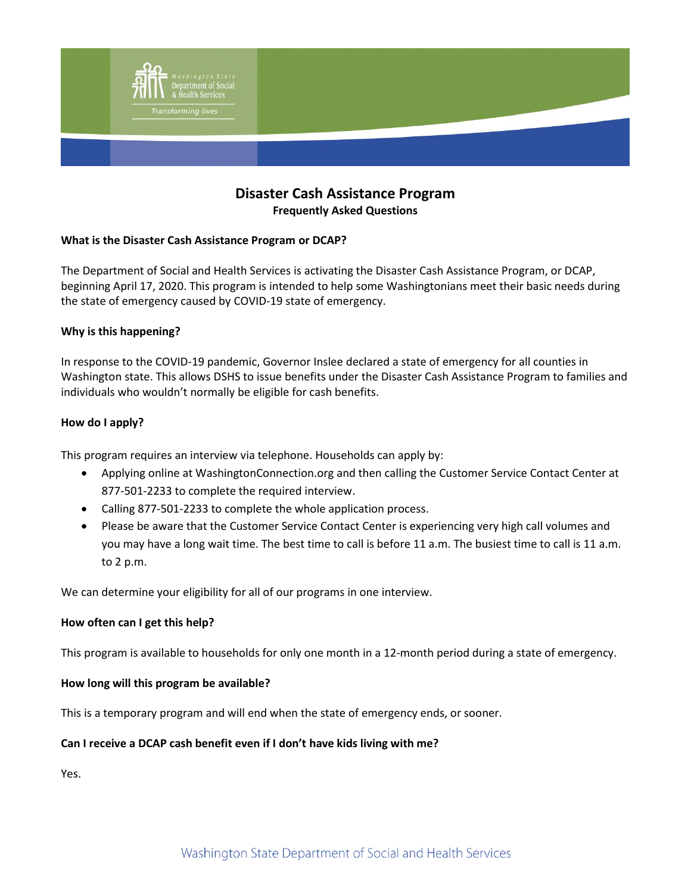

# **Disaster Cash Assistance Program Frequently Asked Questions**

# **What is the Disaster Cash Assistance Program or DCAP?**

The Department of Social and Health Services is activating the Disaster Cash Assistance Program, or DCAP, beginning April 17, 2020. This program is intended to help some Washingtonians meet their basic needs during the state of emergency caused by COVID-19 state of emergency.

# **Why is this happening?**

In response to the COVID-19 pandemic, Governor Inslee declared a state of emergency for all counties in Washington state. This allows DSHS to issue benefits under the Disaster Cash Assistance Program to families and individuals who wouldn't normally be eligible for cash benefits.

## **How do I apply?**

This program requires an interview via telephone. Households can apply by:

- Applying online at [WashingtonConnection.org](https://www.washingtonconnection.org/home/) and then calling the Customer Service Contact Center at 877-501-2233 to complete the required interview.
- Calling 877-501-2233 to complete the whole application process.
- Please be aware that the Customer Service Contact Center is experiencing very high call volumes and you may have a long wait time. The best time to call is before 11 a.m. The busiest time to call is 11 a.m. to 2 p.m.

We can determine your eligibility for all of our programs in one interview.

### **How often can I get this help?**

This program is available to households for only one month in a 12-month period during a state of emergency.

### **How long will this program be available?**

This is a temporary program and will end when the state of emergency ends, or sooner.

# **Can I receive a DCAP cash benefit even if I don't have kids living with me?**

Yes.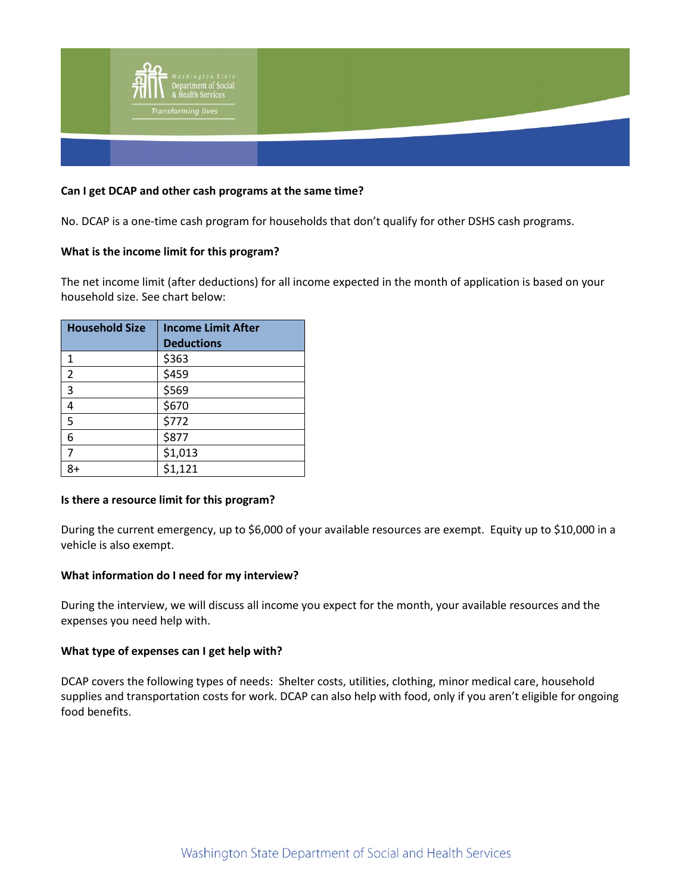

## **Can I get DCAP and other cash programs at the same time?**

No. DCAP is a one-time cash program for households that don't qualify for other DSHS cash programs.

## **What is the income limit for this program?**

The net income limit (after deductions) for all income expected in the month of application is based on your household size. See chart below:

| <b>Household Size</b> | <b>Income Limit After</b> |
|-----------------------|---------------------------|
|                       | <b>Deductions</b>         |
| 1                     | \$363                     |
| $\overline{2}$        | \$459                     |
| 3                     | \$569                     |
| 4                     | \$670                     |
| 5                     | \$772                     |
| 6                     | \$877                     |
| 7                     | \$1,013                   |
| 8+                    | \$1,121                   |

### **Is there a resource limit for this program?**

During the current emergency, up to \$6,000 of your available resources are exempt. Equity up to \$10,000 in a vehicle is also exempt.

### **What information do I need for my interview?**

During the interview, we will discuss all income you expect for the month, your available resources and the expenses you need help with.

### **What type of expenses can I get help with?**

DCAP covers the following types of needs: Shelter costs, utilities, clothing, minor medical care, household supplies and transportation costs for work. DCAP can also help with food, only if you aren't eligible for ongoing food benefits.